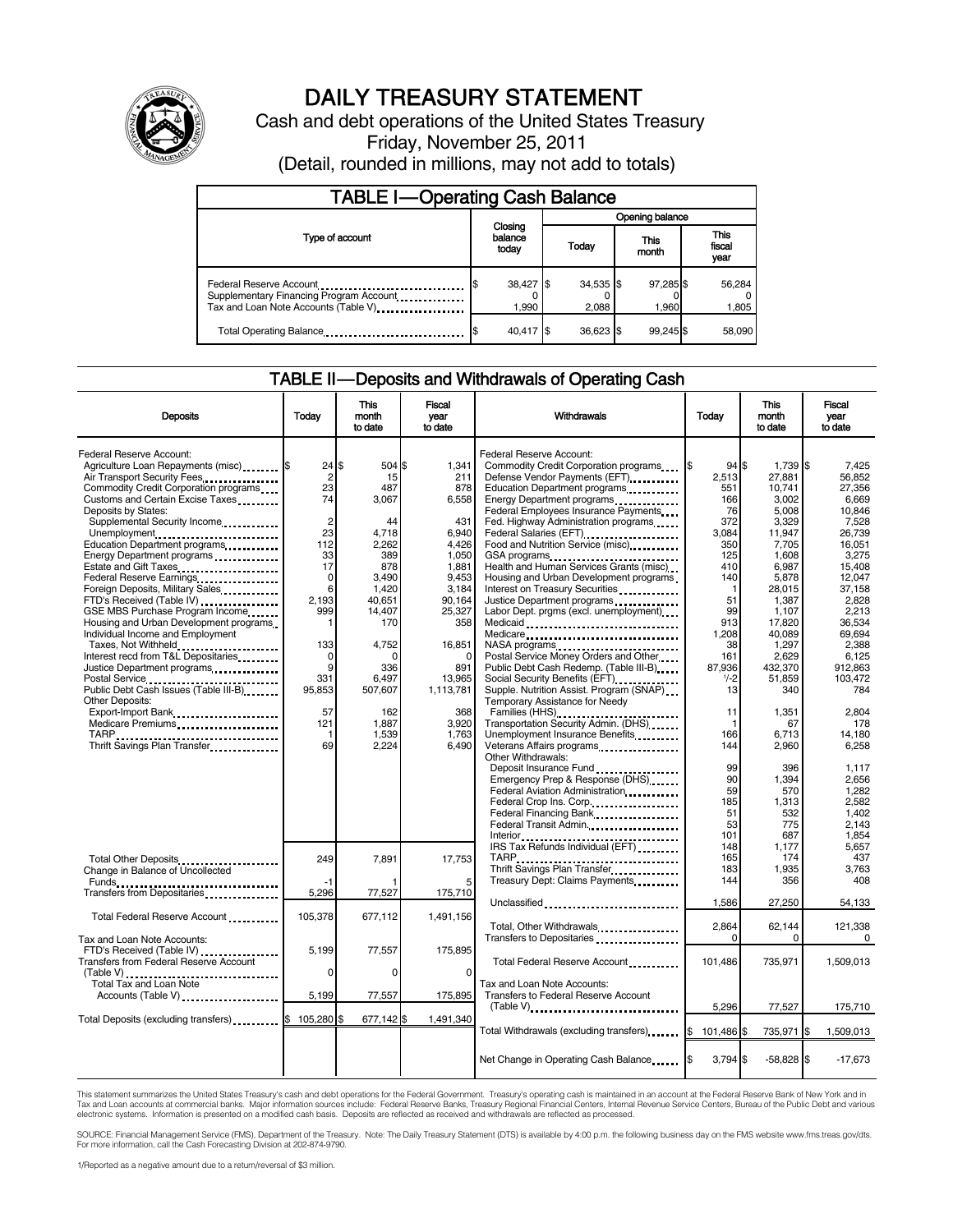

# DAILY TREASURY STATEMENT

Cash and debt operations of the United States Treasury Friday, November 25, 2011

(Detail, rounded in millions, may not add to totals)

| <b>TABLE I-Operating Cash Balance</b>                                                                      |                             |                      |                    |                        |  |  |
|------------------------------------------------------------------------------------------------------------|-----------------------------|----------------------|--------------------|------------------------|--|--|
|                                                                                                            |                             | Opening balance      |                    |                        |  |  |
| Type of account                                                                                            | Closing<br>balance<br>today | Today                | This<br>month      | This<br>fiscal<br>year |  |  |
| Federal Reserve Account<br>Supplementary Financing Program Account<br>Tax and Loan Note Accounts (Table V) | 38,427 \$<br>1.990          | $34,535$ \$<br>2.088 | 97,285 \$<br>1.960 | 56,284<br>1,805        |  |  |
| Total Operating Balance                                                                                    | 40.417 \$                   | $36.623$ \$          | 99.245\$           | 58.090                 |  |  |

### TABLE II — Deposits and Withdrawals of Operating Cash

| <b>Deposits</b>                                                                                                                                  | Today                       | <b>This</b><br>month<br>to date | <b>Fiscal</b><br>year<br>to date | Withdrawals                                                                                                                                                                                                                                                                                                     | Today                   | <b>This</b><br>month<br>to date | Fiscal<br>vear<br>to date   |
|--------------------------------------------------------------------------------------------------------------------------------------------------|-----------------------------|---------------------------------|----------------------------------|-----------------------------------------------------------------------------------------------------------------------------------------------------------------------------------------------------------------------------------------------------------------------------------------------------------------|-------------------------|---------------------------------|-----------------------------|
| <b>Federal Reserve Account:</b><br>Agriculture Loan Repayments (misc) [\$<br>Air Transport Security Fees                                         | 24<br>$\overline{2}$        | \$.<br>504 \$<br>15             | 1,341<br>211                     | Federal Reserve Account:<br>Commodity Credit Corporation programs<br>Defense Vendor Payments (EFT)                                                                                                                                                                                                              | 1\$<br>94S<br>2,513     | 1,739 \$<br>27.881              | 7.425<br>56.852             |
| Commodity Credit Corporation programs<br>Customs and Certain Excise Taxes<br>Deposits by States:                                                 | 23<br>74                    | 487<br>3,067                    | 878<br>6,558                     | Education Department programs<br>Energy Department programs<br>Federal Employees Insurance Payments                                                                                                                                                                                                             | 551<br>166<br>76        | 10,741<br>3,002<br>5.008        | 27.356<br>6,669<br>10.846   |
| Supplemental Security Income<br>Unemployment<br>Education Department programs                                                                    | $\overline{2}$<br>23<br>112 | 44<br>4,718<br>2,262            | 431<br>6,940<br>4,426            | Fed. Highway Administration programs<br>Federal Salaries (EFT)<br>1991 - Production California Salaries (EFT)<br>1991 - Production California Salaries (California Salaries (California Salaries (California Salaries (California Salaries (California Salaries (Californi<br>Food and Nutrition Service (misc) | 372<br>3,084<br>350     | 3,329<br>11,947<br>7,705        | 7,528<br>26,739<br>16,051   |
| Energy Department programs<br>Estate and Gift Taxes<br>Federal Reserve Earnings                                                                  | 33<br>17<br>$\mathbf 0$     | 389<br>878<br>3.490             | 1.050<br>1.881<br>9.453          | GSA programs<br>Health and Human Services Grants (misc)<br>Housing and Urban Development programs                                                                                                                                                                                                               | 125<br>410<br>140       | 1.608<br>6.987<br>5,878         | 3.275<br>15.408<br>12.047   |
| Foreign Deposits, Military Sales<br>FTD's Received (Table IV)<br>GSE MBS Purchase Program Income                                                 | 6<br>2.193<br>999           | 1,420<br>40,651<br>14,407       | 3,184<br>90,164<br>25,327        | Interest on Treasury Securities<br>Justice Department programs<br>Labor Dept. prgms (excl. unemployment)                                                                                                                                                                                                        | 1<br>51<br>99           | 28,015<br>1,387<br>1,107        | 37,158<br>2.828<br>2,213    |
| Housing and Urban Development programs<br>Individual Income and Employment<br>Taxes, Not Withheld                                                | $\mathbf{1}$<br>133         | 170<br>4,752                    | 358<br>16,851                    | Medicaid<br>Medicare<br>NASA programs                                                                                                                                                                                                                                                                           | 913<br>1,208<br>38      | 17,820<br>40,089<br>1,297       | 36,534<br>69,694<br>2.388   |
| Interest recd from T&L Depositaries<br>Justice Department programs                                                                               | 0<br>9<br>331               | C<br>336<br>6,497               | $\Omega$<br>891<br>13,965        | Postal Service Money Orders and Other<br>Public Debt Cash Redemp. (Table III-B)<br>Social Security Benefits (EFT) [1001]                                                                                                                                                                                        | 161<br>87.936<br>$1/-2$ | 2.629<br>432.370<br>51,859      | 6.125<br>912.863<br>103,472 |
| Postal Service<br>Public Debt Cash Issues (Table III-B)<br>The Line of Cash Issues (Table III-B)<br><b>Other Deposits:</b><br>Export-Import Bank | 95,853<br>57                | 507,607<br>162                  | 1,113,781<br>368                 | Supple. Nutrition Assist. Program (SNAP)<br>Temporary Assistance for Needy                                                                                                                                                                                                                                      | 13<br>11                | 340<br>1,351                    | 784<br>2,804                |
| Medicare Premiums<br><br>TARP<br>Thrift Savings Plan Transfer                                                                                    | 121<br>-1<br>69             | 1,887<br>1.539<br>2.224         | 3,920<br>1,763<br>6.490          | Transportation Security Admin. (DHS)<br>Unemployment Insurance Benefits<br>Veterans Affairs programs                                                                                                                                                                                                            | 166<br>144              | 67<br>6.713<br>2,960            | 178<br>14.180<br>6,258      |
|                                                                                                                                                  |                             |                                 |                                  | Other Withdrawals:<br>Deposit Insurance Fund<br>Emergency Prep & Response (DHS)                                                                                                                                                                                                                                 | 99<br>90                | 396<br>1,394                    | 1,117<br>2.656              |
|                                                                                                                                                  |                             |                                 |                                  | Federal Aviation Administration<br>Federal Crop Ins. Corp.<br>Federal Financing Bank                                                                                                                                                                                                                            | 59<br>185<br>51         | 570<br>1,313<br>532             | 1,282<br>2,582<br>1.402     |
|                                                                                                                                                  |                             |                                 |                                  | Federal Transit Admin.<br>IRS Tax Refunds Individual (EFT)                                                                                                                                                                                                                                                      | 53<br>101<br>148        | 775<br>687<br>1,177             | 2.143<br>1.854<br>5,657     |
| Total Other Deposits<br>Change in Balance of Uncollected<br>Funds                                                                                | 249                         | 7,891                           | 17,753                           | TARP.<br>Thrift Savings Plan Transfer<br>Treasury Dept: Claims Payments                                                                                                                                                                                                                                         | 165<br>183<br>144       | 174<br>1,935<br>356             | 437<br>3,763<br>408         |
| Transfers from Depositaries<br>Total Federal Reserve Account                                                                                     | 5,296<br>105,378            | 77,527<br>677,112               | 175,710<br>1,491,156             | Unclassified                                                                                                                                                                                                                                                                                                    | 1.586                   | 27.250                          | 54,133                      |
| Tax and Loan Note Accounts:<br>FTD's Received (Table IV)                                                                                         | 5,199                       | 77,557                          | 175,895                          | Total, Other Withdrawals<br>Transfers to Depositaries                                                                                                                                                                                                                                                           | 2,864<br>$\Omega$       | 62,144<br>0                     | 121,338<br>0                |
| <b>Transfers from Federal Reserve Account</b><br>(Table V)<br>Total Tax and Loan Note                                                            | 0                           | 0                               | 0                                | Total Federal Reserve Account<br>Tax and Loan Note Accounts:                                                                                                                                                                                                                                                    | 101,486                 | 735,971                         | 1,509,013                   |
| Accounts (Table V)<br>Total Deposits (excluding transfers) <b>S</b>                                                                              | 5.199<br>105,280 \$         | 77,557<br>677,142 \$            | 175,895<br>1,491,340             | Transfers to Federal Reserve Account<br>$(Table V)$ ,                                                                                                                                                                                                                                                           | 5,296                   | 77,527                          | 175,710                     |
|                                                                                                                                                  |                             |                                 |                                  | Total Withdrawals (excluding transfers)                                                                                                                                                                                                                                                                         | \$<br>101.486 \$        | 735.971                         | 1.509.013                   |
|                                                                                                                                                  |                             |                                 |                                  | Net Change in Operating Cash Balance                                                                                                                                                                                                                                                                            | l\$<br>3,794 \$         | $-58,828$ \$                    | $-17,673$                   |

This statement summarizes the United States Treasury's cash and debt operations for the Federal Government. Treasury's operating cash is maintained in an account at the Federal Reserve Bank of New York and in<br>Tax and Loan

SOURCE: Financial Management Service (FMS), Department of the Treasury. Note: The Daily Treasury Statement (DTS) is available by 4:00 p.m. the following business day on the FMS website www.fms.treas.gov/dts. For more information, call the Cash Forecasting Division at 202-874-9790.